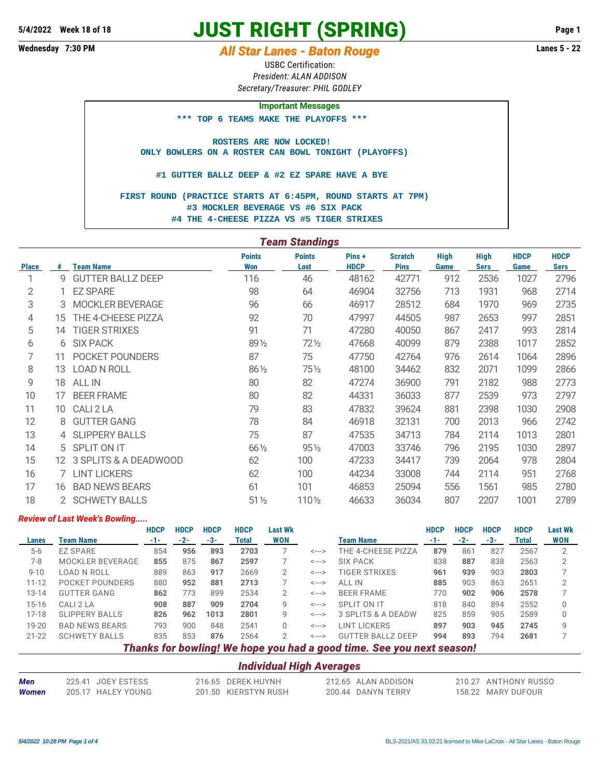# **JUST RIGHT (SPRING) 5/4/2022 Week 18 of 18 Page 1**

## **Wednesday 7:30 PM** *All Star Lanes - Baton Rouge* **Lanes 5 - 22**

USBC Certification: *President: ALAN ADDISON Secretary/Treasurer: PHIL GODLEY*

#### **Important Messages**

 **\*\*\* TOP 6 TEAMS MAKE THE PLAYOFFS \*\*\***

 **ROSTERS ARE NOW LOCKED! ONLY BOWLERS ON A ROSTER CAN BOWL TONIGHT (PLAYOFFS)**

 **#1 GUTTER BALLZ DEEP & #2 EZ SPARE HAVE A BYE**

 **FIRST ROUND (PRACTICE STARTS AT 6:45PM, ROUND STARTS AT 7PM) #3 MOCKLER BEVERAGE VS #6 SIX PACK #4 THE 4-CHEESE PIZZA VS #5 TIGER STRIXES**

|              | <b>Team Standings</b> |                          |                      |                       |                      |                               |                     |                            |                     |                            |  |  |  |
|--------------|-----------------------|--------------------------|----------------------|-----------------------|----------------------|-------------------------------|---------------------|----------------------------|---------------------|----------------------------|--|--|--|
| <b>Place</b> | #                     | <b>Team Name</b>         | <b>Points</b><br>Won | <b>Points</b><br>Lost | Pins+<br><b>HDCP</b> | <b>Scratch</b><br><b>Pins</b> | <b>High</b><br>Game | <b>High</b><br><b>Sers</b> | <b>HDCP</b><br>Game | <b>HDCP</b><br><b>Sers</b> |  |  |  |
| 1            | 9                     | <b>GUTTER BALLZ DEEP</b> | 116                  | 46                    | 48162                | 42771                         | 912                 | 2536                       | 1027                | 2796                       |  |  |  |
| 2            |                       | <b>EZ SPARE</b>          | 98                   | 64                    | 46904                | 32756                         | 713                 | 1931                       | 968                 | 2714                       |  |  |  |
| 3            | 3                     | <b>MOCKLER BEVERAGE</b>  | 96                   | 66                    | 46917                | 28512                         | 684                 | 1970                       | 969                 | 2735                       |  |  |  |
| 4            | 15                    | THE 4-CHEESE PIZZA       | 92                   | 70                    | 47997                | 44505                         | 987                 | 2653                       | 997                 | 2851                       |  |  |  |
| 5            | 14                    | <b>TIGER STRIXES</b>     | 91                   | 71                    | 47280                | 40050                         | 867                 | 2417                       | 993                 | 2814                       |  |  |  |
| 6            | 6                     | <b>SIX PACK</b>          | 89 1/2               | $72\frac{1}{2}$       | 47668                | 40099                         | 879                 | 2388                       | 1017                | 2852                       |  |  |  |
| 7            | 11                    | POCKET POUNDERS          | 87                   | 75                    | 47750                | 42764                         | 976                 | 2614                       | 1064                | 2896                       |  |  |  |
| 8            | 13                    | <b>LOAD N ROLL</b>       | 86 1/2               | 751/2                 | 48100                | 34462                         | 832                 | 2071                       | 1099                | 2866                       |  |  |  |
| 9            | 18                    | <b>ALL IN</b>            | 80                   | 82                    | 47274                | 36900                         | 791                 | 2182                       | 988                 | 2773                       |  |  |  |
| 10           | 17                    | <b>BEER FRAME</b>        | 80                   | 82                    | 44331                | 36033                         | 877                 | 2539                       | 973                 | 2797                       |  |  |  |
| 11           | 10                    | CALI 2 LA                | 79                   | 83                    | 47832                | 39624                         | 881                 | 2398                       | 1030                | 2908                       |  |  |  |
| 12           | 8                     | <b>GUTTER GANG</b>       | 78                   | 84                    | 46918                | 32131                         | 700                 | 2013                       | 966                 | 2742                       |  |  |  |
| 13           |                       | <b>SLIPPERY BALLS</b>    | 75                   | 87                    | 47535                | 34713                         | 784                 | 2114                       | 1013                | 2801                       |  |  |  |
| 14           | 5.                    | SPLIT ON IT              | 66 1/2               | $95\%$                | 47003                | 33746                         | 796                 | 2195                       | 1030                | 2897                       |  |  |  |
| 15           |                       | 12 3 SPLITS & A DEADWOOD | 62                   | 100                   | 47233                | 34417                         | 739                 | 2064                       | 978                 | 2804                       |  |  |  |
| 16           |                       | <b>LINT LICKERS</b>      | 62                   | 100                   | 44234                | 33008                         | 744                 | 2114                       | 951                 | 2768                       |  |  |  |
| 17           | 16                    | <b>BAD NEWS BEARS</b>    | 61                   | 101                   | 46853                | 25094                         | 556                 | 1561                       | 985                 | 2780                       |  |  |  |
| 18           |                       | 2 SCHWETY BALLS          | $51\frac{1}{2}$      | 110 1/2               | 46633                | 36034                         | 807                 | 2207                       | 1001                | 2789                       |  |  |  |

#### *Review of Last Week's Bowling.....*

|           |                       | <b>HDCP</b> | <b>HDCP</b> | <b>HDCP</b> | <b>HDCP</b> | <b>Last Wk</b> |       |                                                                       | <b>HDCP</b> | <b>HDCP</b> | <b>HDCP</b> | <b>HDCP</b> | <b>Last Wk</b> |
|-----------|-----------------------|-------------|-------------|-------------|-------------|----------------|-------|-----------------------------------------------------------------------|-------------|-------------|-------------|-------------|----------------|
| Lanes     | Team Name             | -1-         | $-2-$       | -3-         | Total       | WON            |       | <b>Team Name</b>                                                      |             | $-2-$       | -3-         | Total       | <b>WON</b>     |
| $5-6$     | <b>EZ SPARE</b>       | 854         | 956         | 893         | 2703        |                | <---> | THE 4-CHEESE PIZZA                                                    | 879         | 861         | 827         | 2567        | 2              |
| $7 - 8$   | MOCKLER BEVERAGE      | 855         | 875         | 867         | 2597        |                | <---> | <b>SIX PACK</b>                                                       | 838         | 887         | 838         | 2563        |                |
| $9 - 10$  | LOAD N ROLL           | 889         | 863         | 917         | 2669        | 2              | <---> | TIGER STRIXES                                                         | 961         | 939         | 903         | 2803        |                |
| $11 - 12$ | POCKET POUNDERS       | 880         | 952         | 881         | 2713        |                | <---> | ALL IN                                                                | 885         | 903         | 863         | 2651        |                |
| $13 - 14$ | <b>GUTTER GANG</b>    | 862         | 773         | 899         | 2534        | 2              | <---> | <b>BEER FRAME</b>                                                     | 770         | 902         | 906         | 2578        |                |
| $15 - 16$ | CALI 2 LA             | 908         | 887         | 909         | 2704        | 9              | <---> | SPLIT ON IT                                                           | 818         | 840         | 894         | 2552        |                |
| $17-18$   | <b>SLIPPERY BALLS</b> | 826         | 962         | 1013        | 2801        | 9              | <---> | 3 SPLITS & A DEADW                                                    | 825         | 859         | 905         | 2589        |                |
| $19 - 20$ | <b>BAD NEWS BEARS</b> | 793         | 900         | 848         | 2541        | $\Omega$       | <---> | LINT LICKERS                                                          | 897         | 903         | 945         | 2745        | q              |
| $21 - 22$ | <b>SCHWETY BALLS</b>  | 835         | 853         | 876         | 2564        | 2              | <---> | <b>GUTTER BALLZ DEEP</b>                                              | 994         | 893         | 794         | 2681        |                |
|           |                       |             |             |             |             |                |       | Thanks for bowling! We hope you had a good time. See you next season! |             |             |             |             |                |

### *Individual High Averages*

| Men   | 225.41 JOEY ESTESS | 216.65 DEREK HUYNH   | 212.65 ALAN ADDISON | 210.27 ANTHONY RUSSO |
|-------|--------------------|----------------------|---------------------|----------------------|
| Women | 205.17 HALEY YOUNG | 201.50 KIERSTYN RUSH | 200.44 DANYN TERRY  | 158.22 MARY DUFOUR   |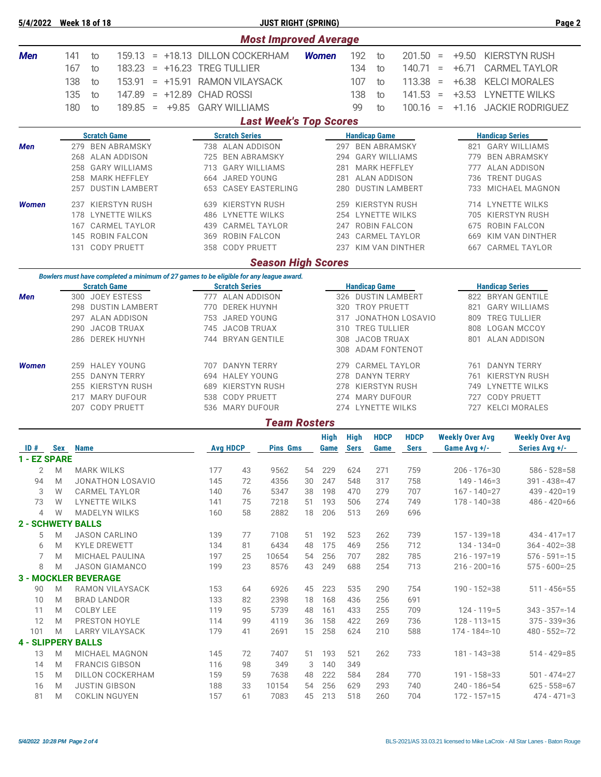| 5/4/2022                    | <b>Week 18 of 18</b> |             |                                        |                                          |  |                       |                                                 |                       | <b>JUST RIGHT (SPRING)</b>                                                                                          |          |                          |                                            |                    |                                         |                  |          |                                      | Page 2                                         |
|-----------------------------|----------------------|-------------|----------------------------------------|------------------------------------------|--|-----------------------|-------------------------------------------------|-----------------------|---------------------------------------------------------------------------------------------------------------------|----------|--------------------------|--------------------------------------------|--------------------|-----------------------------------------|------------------|----------|--------------------------------------|------------------------------------------------|
|                             |                      |             |                                        |                                          |  |                       |                                                 |                       | <b>Most Improved Average</b>                                                                                        |          |                          |                                            |                    |                                         |                  |          |                                      |                                                |
| <b>Men</b>                  | 141                  |             | to                                     | 159.13                                   |  |                       |                                                 |                       | = +18.13 DILLON COCKERHAM                                                                                           |          | <b>Women</b>             |                                            | 192                | to                                      | 201.50           | $\, =$   | $+9.50$                              | <b>KIERSTYN RUSH</b>                           |
|                             | 167                  |             | to                                     | 183.23                                   |  | = +16.23 TREG TULLIER |                                                 |                       |                                                                                                                     |          |                          |                                            | 134                | to                                      | 140.71           | $\equiv$ | $+6.71$                              | <b>CARMEL TAYLOR</b>                           |
|                             | 138                  |             | to                                     | 153.91                                   |  |                       |                                                 |                       | = +15.91 RAMON VILAYSACK                                                                                            |          |                          |                                            | 107                | to                                      | 113.38           | $\equiv$ | $+6.38$                              | <b>KELCI MORALES</b>                           |
|                             | 135                  |             | to                                     | 147.89                                   |  | $= +12.89$ CHAD ROSSI |                                                 |                       |                                                                                                                     |          |                          |                                            | 138                | to                                      | 141.53           | $=$      | $+3.53$                              | <b>LYNETTE WILKS</b>                           |
|                             | 180                  |             | to                                     | 189.85                                   |  | $= +9.85$             |                                                 | <b>GARY WILLIAMS</b>  |                                                                                                                     |          |                          |                                            | 99                 | to                                      | $100.16 =$       |          | $+1.16$                              | <b>JACKIE RODRIGUEZ</b>                        |
|                             |                      |             |                                        |                                          |  |                       |                                                 |                       | <b>Last Week's Top Scores</b>                                                                                       |          |                          |                                            |                    |                                         |                  |          |                                      |                                                |
|                             |                      |             | <b>Scratch Game</b>                    |                                          |  |                       |                                                 | <b>Scratch Series</b> |                                                                                                                     |          |                          |                                            |                    | <b>Handicap Game</b>                    |                  |          |                                      | <b>Handicap Series</b>                         |
| <b>Men</b>                  |                      |             |                                        | 279 BEN ABRAMSKY                         |  |                       | 738 ALAN ADDISON                                |                       |                                                                                                                     |          |                          |                                            |                    | 297 BEN ABRAMSKY                        |                  |          |                                      | 821 GARY WILLIAMS                              |
|                             |                      |             |                                        | 268 ALAN ADDISON                         |  |                       |                                                 |                       | 725 BEN ABRAMSKY                                                                                                    |          |                          | 294                                        |                    | <b>GARY WILLIAMS</b>                    |                  |          | 779                                  | <b>BEN ABRAMSKY</b>                            |
|                             | 258                  |             |                                        | <b>GARY WILLIAMS</b>                     |  |                       |                                                 |                       | 713 GARY WILLIAMS                                                                                                   |          |                          | 281                                        |                    | <b>MARK HEFFLEY</b>                     |                  |          | 777                                  | ALAN ADDISON                                   |
|                             | 258                  |             |                                        | <b>MARK HEFFLEY</b>                      |  |                       | 664                                             |                       | JARED YOUNG                                                                                                         |          |                          | 281                                        |                    | <b>ALAN ADDISON</b>                     |                  |          | 736                                  | <b>TRENT DUGAS</b>                             |
|                             | 257                  |             |                                        | <b>DUSTIN LAMBERT</b>                    |  |                       | 653                                             |                       | <b>CASEY EASTERLING</b>                                                                                             |          |                          | 280                                        |                    | <b>DUSTIN LAMBERT</b>                   |                  |          | 733                                  | MICHAEL MAGNON                                 |
| <b>Women</b>                | 237                  |             |                                        | KIERSTYN RUSH                            |  |                       | 639                                             |                       | KIERSTYN RUSH                                                                                                       |          |                          | 259                                        |                    | KIERSTYN RUSH                           |                  |          |                                      | 714 LYNETTE WILKS                              |
|                             | 178                  |             |                                        | LYNETTE WILKS                            |  |                       |                                                 |                       | 486 LYNETTE WILKS                                                                                                   |          |                          |                                            |                    | 254 LYNETTE WILKS                       |                  |          |                                      | 705 KIERSTYN RUSH                              |
|                             | 167                  |             |                                        | <b>CARMEL TAYLOR</b>                     |  |                       | 439                                             |                       | <b>CARMEL TAYLOR</b>                                                                                                |          |                          | 247                                        |                    | <b>ROBIN FALCON</b>                     |                  |          | 675                                  | <b>ROBIN FALCON</b>                            |
|                             | 145<br>131           |             |                                        | ROBIN FALCON<br><b>CODY PRUETT</b>       |  |                       | 369<br>358                                      |                       | <b>ROBIN FALCON</b><br><b>CODY PRUETT</b>                                                                           |          |                          | 243<br>237                                 |                    | <b>CARMEL TAYLOR</b><br>KIM VAN DINTHER |                  |          | 669<br>667                           | <b>KIM VAN DINTHER</b><br><b>CARMEL TAYLOR</b> |
|                             |                      |             |                                        |                                          |  |                       |                                                 |                       |                                                                                                                     |          |                          |                                            |                    |                                         |                  |          |                                      |                                                |
|                             |                      |             |                                        |                                          |  |                       |                                                 |                       | <b>Season High Scores</b><br>Bowlers must have completed a minimum of 27 games to be eligible for any league award. |          |                          |                                            |                    |                                         |                  |          |                                      |                                                |
|                             |                      |             | <b>Scratch Game</b>                    |                                          |  |                       |                                                 | <b>Scratch Series</b> |                                                                                                                     |          |                          |                                            |                    | <b>Handicap Game</b>                    |                  |          |                                      | <b>Handicap Series</b>                         |
| <b>Men</b>                  |                      |             |                                        | 300 JOEY ESTESS                          |  |                       |                                                 |                       | 777 ALAN ADDISON                                                                                                    |          |                          |                                            |                    | 326 DUSTIN LAMBERT                      |                  |          |                                      | 822 BRYAN GENTILE                              |
|                             | 298                  |             |                                        | <b>DUSTIN LAMBERT</b>                    |  |                       | 770                                             |                       | <b>DEREK HUYNH</b>                                                                                                  |          |                          | 320                                        |                    | <b>TROY PRUETT</b>                      |                  |          | 821                                  | <b>GARY WILLIAMS</b>                           |
|                             |                      |             |                                        | 297 ALAN ADDISON                         |  |                       | 753                                             |                       | JARED YOUNG                                                                                                         |          |                          | 317                                        |                    |                                         | JONATHON LOSAVIO |          | 809                                  | <b>TREG TULLIER</b>                            |
|                             | 290                  |             |                                        | <b>JACOB TRUAX</b>                       |  |                       | 745                                             |                       | <b>JACOB TRUAX</b>                                                                                                  |          |                          | 310                                        |                    | <b>TREG TULLIER</b>                     |                  |          | 808                                  | <b>LOGAN MCCOY</b>                             |
|                             |                      |             |                                        | 286 DEREK HUYNH                          |  |                       |                                                 |                       | 744 BRYAN GENTILE                                                                                                   |          |                          | 308                                        |                    | <b>JACOB TRUAX</b>                      |                  |          |                                      | 801 ALAN ADDISON                               |
|                             |                      |             |                                        |                                          |  |                       |                                                 |                       |                                                                                                                     |          |                          | 308                                        |                    | <b>ADAM FONTENOT</b>                    |                  |          |                                      |                                                |
| <b>Women</b>                | 259                  |             |                                        | <b>HALEY YOUNG</b>                       |  |                       | <b>DANYN TERRY</b><br>707<br><b>HALEY YOUNG</b> |                       |                                                                                                                     |          |                          | 279                                        |                    | <b>CARMEL TAYLOR</b>                    |                  |          | 761                                  | <b>DANYN TERRY</b>                             |
|                             | 255                  |             |                                        | <b>DANYN TERRY</b>                       |  |                       | 694                                             |                       |                                                                                                                     |          | 278                      |                                            | <b>DANYN TERRY</b> |                                         |                  | 761      | KIERSTYN RUSH                        |                                                |
|                             |                      |             |                                        | 255 KIERSTYN RUSH                        |  |                       | KIERSTYN RUSH<br>689                            |                       |                                                                                                                     |          |                          | KIERSTYN RUSH<br>278<br><b>MARY DUFOUR</b> |                    |                                         |                  |          |                                      | 749 LYNETTE WILKS                              |
|                             | 217<br>207           |             |                                        | <b>MARY DUFOUR</b><br><b>CODY PRUETT</b> |  |                       | 538<br>536                                      |                       | <b>CODY PRUETT</b><br><b>MARY DUFOUR</b>                                                                            |          | 274<br>274 LYNETTE WILKS |                                            |                    |                                         |                  |          | 727<br>727                           | <b>CODY PRUETT</b><br><b>KELCI MORALES</b>     |
|                             |                      |             |                                        |                                          |  |                       |                                                 |                       | <b>Team Rosters</b>                                                                                                 |          |                          |                                            |                    |                                         |                  |          |                                      |                                                |
|                             |                      |             |                                        |                                          |  |                       |                                                 |                       |                                                                                                                     |          | <b>High</b>              |                                            | <b>High</b>        | <b>HDCP</b>                             | <b>HDCP</b>      |          | <b>Weekly Over Avg</b>               | <b>Weekly Over Avg</b>                         |
| ID#                         | Sex                  | <b>Name</b> |                                        |                                          |  |                       |                                                 | <b>Avg HDCP</b>       | <b>Pins Gms</b>                                                                                                     |          | Game                     |                                            | Sers               | Game                                    | <b>Sers</b>      |          | Game Avg +/-                         | Series Avg +/-                                 |
| 1 - EZ SPARE                |                      |             |                                        |                                          |  |                       |                                                 |                       |                                                                                                                     |          |                          |                                            |                    |                                         |                  |          |                                      |                                                |
| 2                           | M                    |             | <b>MARK WILKS</b>                      |                                          |  |                       | 177                                             | 43                    | 9562                                                                                                                | 54       | 229                      |                                            | 624                | 271                                     | 759              |          | $206 - 176 = 30$                     | $586 - 528 = 58$                               |
| 94                          | M                    |             |                                        | <b>JONATHON LOSAVIO</b>                  |  |                       | 145                                             | 72                    | 4356                                                                                                                | 30       | 247                      |                                            | 548                | 317                                     | 758              |          | $149 - 146 = 3$                      | $391 - 438 = -47$                              |
| 3<br>73                     | W<br>W               |             |                                        | <b>CARMEL TAYLOR</b><br>LYNETTE WILKS    |  |                       | 140<br>141                                      | 76<br>75              | 5347<br>7218                                                                                                        | 38<br>51 | 198<br>193               |                                            | 470<br>506         | 279<br>274                              | 707<br>749       |          | $167 - 140 = 27$<br>$178 - 140 = 38$ | 439 - 420=19<br>$486 - 420 = 66$               |
| $\overline{4}$              | W                    |             |                                        | <b>MADELYN WILKS</b>                     |  |                       | 160                                             | 58                    | 2882                                                                                                                | 18       | 206                      |                                            | 513                | 269                                     | 696              |          |                                      |                                                |
| <b>2 - SCHWETY BALLS</b>    |                      |             |                                        |                                          |  |                       |                                                 |                       |                                                                                                                     |          |                          |                                            |                    |                                         |                  |          |                                      |                                                |
| 5                           | M                    |             |                                        | <b>JASON CARLINO</b>                     |  |                       | 139                                             | 77                    | 7108                                                                                                                | 51       | 192                      |                                            | 523                | 262                                     | 739              |          | $157 - 139 = 18$                     | $434 - 417 = 17$                               |
| 6                           | M                    |             |                                        | <b>KYLE DREWETT</b>                      |  |                       | 134                                             | 81                    | 6434                                                                                                                | 48       | 175                      |                                            | 469                | 256                                     | 712              |          | 134 - 134=0                          | $364 - 402 = -38$                              |
| 7                           | M                    |             |                                        | MICHAEL PAULINA                          |  |                       | 197                                             | 25                    | 10654                                                                                                               | 54       | 256                      |                                            | 707                | 282                                     | 785              |          | $216 - 197 = 19$                     | $576 - 591 = -15$                              |
| 8                           | M                    |             |                                        | <b>JASON GIAMANCO</b>                    |  |                       | 199                                             | 23                    | 8576                                                                                                                | 43       | 249                      |                                            | 688                | 254                                     | 713              |          | $216 - 200 = 16$                     | $575 - 600 = -25$                              |
| <b>3 - MOCKLER BEVERAGE</b> |                      |             |                                        |                                          |  |                       |                                                 |                       |                                                                                                                     |          |                          |                                            |                    |                                         |                  |          |                                      |                                                |
| 90                          | M                    |             |                                        | RAMON VILAYSACK                          |  |                       | 153                                             | 64                    | 6926                                                                                                                | 45       | 223                      |                                            | 535                | 290                                     | 754              |          | $190 - 152 = 38$                     | $511 - 456 = 55$                               |
| 10<br>11                    | M<br>M               |             | <b>BRAD LANDOR</b><br><b>COLBY LEE</b> |                                          |  |                       | 133<br>119                                      | 82<br>95              | 2398<br>5739                                                                                                        | 18<br>48 | 168<br>161               |                                            | 436<br>433         | 256<br>255                              | 691<br>709       |          | $124 - 119 = 5$                      | $343 - 357 = -14$                              |
| 12                          | M                    |             |                                        | PRESTON HOYLE                            |  |                       | 114                                             | 99                    | 4119                                                                                                                | 36       | 158                      |                                            | 422                | 269                                     | 736              |          | $128 - 113 = 15$                     | $375 - 339 = 36$                               |
| 101                         | M                    |             |                                        | <b>LARRY VILAYSACK</b>                   |  |                       | 179                                             | 41                    | 2691                                                                                                                | 15       | 258                      |                                            | 624                | 210                                     | 588              |          | 174 - 184 = - 10                     | $480 - 552 = -72$                              |
| <b>4 - SLIPPERY BALLS</b>   |                      |             |                                        |                                          |  |                       |                                                 |                       |                                                                                                                     |          |                          |                                            |                    |                                         |                  |          |                                      |                                                |
| 13                          | M                    |             |                                        | MICHAEL MAGNON                           |  |                       | 145                                             | 72                    | 7407                                                                                                                | 51       | 193                      |                                            | 521                | 262                                     | 733              |          | 181 - 143=38                         | $514 - 429 = 85$                               |
| 14                          | M                    |             |                                        | <b>FRANCIS GIBSON</b>                    |  |                       | 116                                             | 98                    | 349                                                                                                                 | 3        | 140                      |                                            | 349                |                                         |                  |          |                                      |                                                |
| 15                          | M                    |             |                                        | DILLON COCKERHAM                         |  |                       | 159                                             | 59                    | 7638                                                                                                                | 48       | 222                      |                                            | 584                | 284                                     | 770              |          | 191 - 158=33                         | 501 - 474=27                                   |
| 16                          | M                    |             |                                        | <b>JUSTIN GIBSON</b>                     |  |                       | 188                                             | 33                    | 10154                                                                                                               | 54       | 256                      |                                            | 629                | 293                                     | 740              |          | $240 - 186 = 54$                     | $625 - 558 = 67$                               |
| 81                          | M                    |             |                                        | COKLIN NGUYEN                            |  |                       | 157                                             | 61                    | 7083                                                                                                                | 45       | 213                      |                                            | 518                | 260                                     | 704              |          | $172 - 157 = 15$                     | $474 - 471 = 3$                                |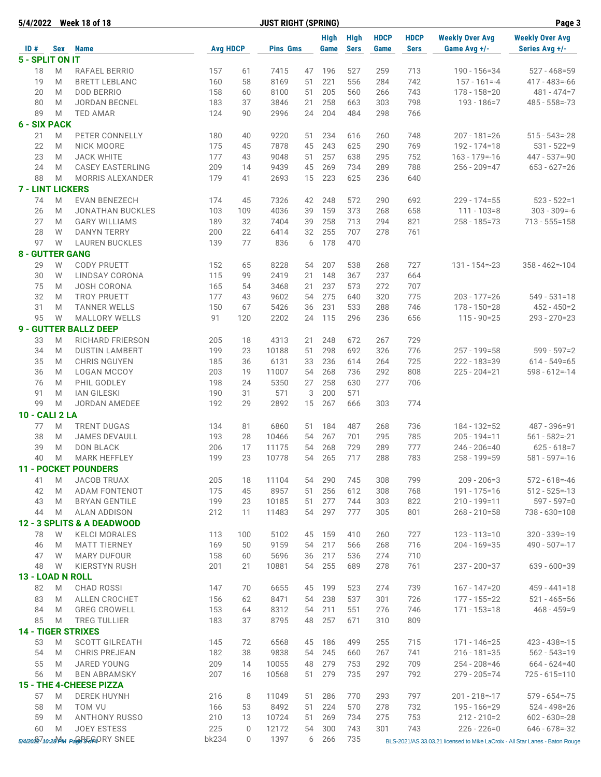| 5/4/2022                  |     | <b>Week 18 of 18</b>                |                 |             | <b>JUST RIGHT (SPRING)</b> |    |                     |                            |                     |                            | Page 3                                 |                                                                              |
|---------------------------|-----|-------------------------------------|-----------------|-------------|----------------------------|----|---------------------|----------------------------|---------------------|----------------------------|----------------------------------------|------------------------------------------------------------------------------|
| ID#                       | Sex | <b>Name</b>                         | <b>Avg HDCP</b> |             | <b>Pins Gms</b>            |    | <b>High</b><br>Game | <b>High</b><br><b>Sers</b> | <b>HDCP</b><br>Game | <b>HDCP</b><br><b>Sers</b> | <b>Weekly Over Avg</b><br>Game Avg +/- | <b>Weekly Over Avg</b><br>Series Avg +/-                                     |
| 5 - SPLIT ON IT           |     |                                     |                 |             |                            |    |                     |                            |                     |                            |                                        |                                                                              |
| 18                        | M   | RAFAEL BERRIO                       | 157             | 61          | 7415                       | 47 | 196                 | 527                        | 259                 | 713                        | $190 - 156 = 34$                       | $527 - 468 = 59$                                                             |
| 19                        | M   | <b>BRETT LEBLANC</b>                | 160             | 58          | 8169                       | 51 | 221                 | 556                        | 284                 | 742                        | $157 - 161 = -4$                       | $417 - 483 = -66$                                                            |
| 20                        | M   | <b>DOD BERRIO</b>                   | 158             | 60          | 8100                       | 51 | 205                 | 560                        | 266                 | 743                        | $178 - 158 = 20$                       | $481 - 474 = 7$                                                              |
| 80                        | M   | <b>JORDAN BECNEL</b>                | 183             | 37          | 3846                       | 21 | 258                 | 663                        | 303                 | 798                        | $193 - 186 = 7$                        | $485 - 558 = -73$                                                            |
| 89                        | M   | <b>TED AMAR</b>                     | 124             | 90          | 2996                       | 24 | 204                 | 484                        | 298                 | 766                        |                                        |                                                                              |
| <b>6 - SIX PACK</b>       |     |                                     |                 |             |                            |    |                     |                            |                     |                            |                                        |                                                                              |
| 21                        | M   | PETER CONNELLY                      | 180             | 40          | 9220                       | 51 | 234                 | 616                        | 260                 | 748                        | $207 - 181 = 26$                       | $515 - 543 = -28$                                                            |
| 22                        | M   | NICK MOORE                          | 175             | 45          | 7878                       | 45 | 243                 | 625                        | 290                 | 769                        | $192 - 174 = 18$                       | $531 - 522 = 9$                                                              |
| 23                        | M   | <b>JACK WHITE</b>                   | 177             | 43          | 9048                       | 51 | 257                 | 638                        | 295                 | 752                        | $163 - 179 = -16$                      | $447 - 537 = -90$                                                            |
| 24                        | M   | <b>CASEY EASTERLING</b>             | 209             | 14          | 9439                       | 45 | 269                 | 734                        | 289                 | 788                        | $256 - 209 = 47$                       | $653 - 627 = 26$                                                             |
| 88                        |     |                                     | 179             |             |                            |    | 223                 | 625                        | 236                 |                            |                                        |                                                                              |
|                           | M   | <b>MORRIS ALEXANDER</b>             |                 | 41          | 2693                       | 15 |                     |                            |                     | 640                        |                                        |                                                                              |
| <b>7 - LINT LICKERS</b>   |     |                                     |                 |             |                            |    |                     |                            |                     |                            |                                        |                                                                              |
| 74                        | M   | <b>EVAN BENEZECH</b>                | 174             | 45          | 7326                       | 42 | 248                 | 572                        | 290                 | 692                        | $229 - 174 = 55$                       | $523 - 522 = 1$                                                              |
| 26                        | M   | <b>JONATHAN BUCKLES</b>             | 103             | 109         | 4036                       | 39 | 159                 | 373                        | 268                 | 658                        | $111 - 103 = 8$                        | $303 - 309 = -6$                                                             |
| 27                        | M   | <b>GARY WILLIAMS</b>                | 189             | 32          | 7404                       | 39 | 258                 | 713                        | 294                 | 821                        | 258 - 185=73                           | $713 - 555 = 158$                                                            |
| 28                        | W   | <b>DANYN TERRY</b>                  | 200             | 22          | 6414                       | 32 | 255                 | 707                        | 278                 | 761                        |                                        |                                                                              |
| 97                        | W   | <b>LAUREN BUCKLES</b>               | 139             | 77          | 836                        | 6  | 178                 | 470                        |                     |                            |                                        |                                                                              |
| <b>8 - GUTTER GANG</b>    |     |                                     |                 |             |                            |    |                     |                            |                     |                            |                                        |                                                                              |
| 29                        | W   | <b>CODY PRUETT</b>                  | 152             | 65          | 8228                       | 54 | 207                 | 538                        | 268                 | 727                        | $131 - 154 = -23$                      | $358 - 462 = -104$                                                           |
| 30                        | W   | LINDSAY CORONA                      | 115             | 99          | 2419                       | 21 | 148                 | 367                        | 237                 | 664                        |                                        |                                                                              |
| 75                        | M   | <b>JOSH CORONA</b>                  | 165             | 54          | 3468                       | 21 | 237                 | 573                        | 272                 | 707                        |                                        |                                                                              |
| 32                        | M   | <b>TROY PRUETT</b>                  | 177             | 43          | 9602                       | 54 | 275                 | 640                        | 320                 | 775                        | $203 - 177 = 26$                       | $549 - 531 = 18$                                                             |
| 31                        | M   | <b>TANNER WELLS</b>                 | 150             | 67          | 5426                       | 36 | 231                 | 533                        | 288                 | 746                        | $178 - 150 = 28$                       | $452 - 450=2$                                                                |
| 95                        | W   | <b>MALLORY WELLS</b>                | 91              | 120         | 2202                       | 24 | 115                 | 296                        | 236                 | 656                        | $115 - 90 = 25$                        | $293 - 270 = 23$                                                             |
|                           |     |                                     |                 |             |                            |    |                     |                            |                     |                            |                                        |                                                                              |
|                           |     | <b>9 - GUTTER BALLZ DEEP</b>        |                 |             |                            |    |                     |                            |                     |                            |                                        |                                                                              |
| 33                        | M   | RICHARD FRIERSON                    | 205             | 18          | 4313                       | 21 | 248                 | 672                        | 267                 | 729                        |                                        |                                                                              |
| 34                        | M   | <b>DUSTIN LAMBERT</b>               | 199             | 23          | 10188                      | 51 | 298                 | 692                        | 326                 | 776                        | $257 - 199 = 58$                       | $599 - 597 = 2$                                                              |
| 35                        | M   | <b>CHRIS NGUYEN</b>                 | 185             | 36          | 6131                       | 33 | 236                 | 614                        | 264                 | 725                        | $222 - 183 = 39$                       | $614 - 549 = 65$                                                             |
| 36                        | M   | <b>LOGAN MCCOY</b>                  | 203             | 19          | 11007                      | 54 | 268                 | 736                        | 292                 | 808                        | $225 - 204 = 21$                       | $598 - 612 = -14$                                                            |
| 76                        | M   | PHIL GODLEY                         | 198             | 24          | 5350                       | 27 | 258                 | 630                        | 277                 | 706                        |                                        |                                                                              |
| 91                        | M   | <b>IAN GILESKI</b>                  | 190             | 31          | 571                        | 3  | 200                 | 571                        |                     |                            |                                        |                                                                              |
| 99                        | M   | <b>JORDAN AMEDEE</b>                | 192             | 29          | 2892                       | 15 | 267                 | 666                        | 303                 | 774                        |                                        |                                                                              |
| <b>10 - CALI 2 LA</b>     |     |                                     |                 |             |                            |    |                     |                            |                     |                            |                                        |                                                                              |
| 77                        | M   | <b>TRENT DUGAS</b>                  | 134             | 81          | 6860                       | 51 | 184                 | 487                        | 268                 | 736                        | $184 - 132 = 52$                       | 487 - 396=91                                                                 |
| 38                        | M   | <b>JAMES DEVAULL</b>                | 193             | 28          | 10466                      | 54 | 267                 | 701                        | 295                 | 785                        | $205 - 194 = 11$                       | $561 - 582 = -21$                                                            |
| 39                        | M   | <b>DON BLACK</b>                    | 206             | 17          | 11175                      | 54 | 268                 | 729                        | 289                 | 777                        | $246 - 206 = 40$                       | $625 - 618 = 7$                                                              |
| 40                        | M   | <b>MARK HEFFLEY</b>                 | 199             | 23          | 10778                      |    | 54 265              | 717                        | 288                 | 783                        | $258 - 199 = 59$                       | $581 - 597 = -16$                                                            |
|                           |     | <b>11 - POCKET POUNDERS</b>         |                 |             |                            |    |                     |                            |                     |                            |                                        |                                                                              |
|                           |     |                                     |                 |             |                            |    |                     |                            |                     |                            |                                        |                                                                              |
| 41                        | M   | <b>JACOB TRUAX</b>                  | 205             | 18          | 11104                      | 54 | 290                 | 745                        | 308                 | 799                        | $209 - 206 = 3$                        | $572 - 618 = -46$                                                            |
| 42                        | M   | <b>ADAM FONTENOT</b>                | 175             | 45          | 8957                       | 51 | 256                 | 612                        | 308                 | 768                        | $191 - 175 = 16$                       | $512 - 525 = -13$                                                            |
| 43                        | M   | <b>BRYAN GENTILE</b>                | 199             | 23          | 10185                      | 51 | 277                 | 744                        | 303                 | 822                        | $210 - 199 = 11$                       | $597 - 597 = 0$                                                              |
| 44                        | M   | <b>ALAN ADDISON</b>                 | 212             | 11          | 11483                      | 54 | 297                 | 777                        | 305                 | 801                        | $268 - 210 = 58$                       | 738 - 630=108                                                                |
|                           |     | 12 - 3 SPLITS & A DEADWOOD          |                 |             |                            |    |                     |                            |                     |                            |                                        |                                                                              |
| 78                        | W   | <b>KELCI MORALES</b>                | 113             | 100         | 5102                       | 45 | 159                 | 410                        | 260                 | 727                        | $123 - 113 = 10$                       | $320 - 339 = -19$                                                            |
| 46                        | M   | <b>MATT TIERNEY</b>                 | 169             | 50          | 9159                       | 54 | 217                 | 566                        | 268                 | 716                        | $204 - 169 = 35$                       | $490 - 507 = -17$                                                            |
| 47                        | W   | <b>MARY DUFOUR</b>                  | 158             | 60          | 5696                       | 36 | 217                 | 536                        | 274                 | 710                        |                                        |                                                                              |
| 48                        | W   | KIERSTYN RUSH                       | 201             | 21          | 10881                      | 54 | 255                 | 689                        | 278                 | 761                        | $237 - 200 = 37$                       | $639 - 600 = 39$                                                             |
| 13 - LOAD N ROLL          |     |                                     |                 |             |                            |    |                     |                            |                     |                            |                                        |                                                                              |
| 82                        | M   | <b>CHAD ROSSI</b>                   | 147             | 70          | 6655                       | 45 | 199                 | 523                        | 274                 | 739                        | $167 - 147 = 20$                       | $459 - 441 = 18$                                                             |
| 83                        | M   | <b>ALLEN CROCHET</b>                | 156             | 62          | 8471                       | 54 | 238                 | 537                        | 301                 | 726                        | 177 - 155=22                           | $521 - 465 = 56$                                                             |
|                           |     |                                     |                 |             |                            |    | 211                 | 551                        |                     |                            |                                        |                                                                              |
| 84                        | M   | <b>GREG CROWELL</b>                 | 153             | 64          | 8312                       | 54 |                     |                            | 276                 | 746                        | $171 - 153 = 18$                       | $468 - 459=9$                                                                |
| 85                        | M   | <b>TREG TULLIER</b>                 | 183             | 37          | 8795                       | 48 | 257                 | 671                        | 310                 | 809                        |                                        |                                                                              |
| <b>14 - TIGER STRIXES</b> |     |                                     |                 |             |                            |    |                     |                            |                     |                            |                                        |                                                                              |
| 53                        | M   | <b>SCOTT GILREATH</b>               | 145             | 72          | 6568                       | 45 | 186                 | 499                        | 255                 | 715                        | $171 - 146 = 25$                       | $423 - 438 = -15$                                                            |
| 54                        | M   | <b>CHRIS PREJEAN</b>                | 182             | 38          | 9838                       | 54 | 245                 | 660                        | 267                 | 741                        | $216 - 181 = 35$                       | $562 - 543 = 19$                                                             |
| 55                        | M   | JARED YOUNG                         | 209             | 14          | 10055                      | 48 | 279                 | 753                        | 292                 | 709                        | $254 - 208 = 46$                       | $664 - 624 = 40$                                                             |
| 56                        | M   | <b>BEN ABRAMSKY</b>                 | 207             | 16          | 10568                      | 51 | 279                 | 735                        | 297                 | 792                        | 279 - 205 = 74                         | $725 - 615 = 110$                                                            |
|                           |     | 15 - THE 4-CHEESE PIZZA             |                 |             |                            |    |                     |                            |                     |                            |                                        |                                                                              |
| 57                        | M   | <b>DEREK HUYNH</b>                  | 216             | 8           | 11049                      | 51 | 286                 | 770                        | 293                 | 797                        | $201 - 218 = -17$                      | $579 - 654 = -75$                                                            |
| 58                        | M   | TOM VU                              | 166             | 53          | 8492                       | 51 | 224                 | 570                        | 278                 | 732                        | $195 - 166 = 29$                       | $524 - 498 = 26$                                                             |
| 59                        | M   | <b>ANTHONY RUSSO</b>                | 210             | 13          | 10724                      | 51 | 269                 | 734                        | 275                 | 753                        | $212 - 210=2$                          | $602 - 630 = -28$                                                            |
| 60                        | M   | <b>JOEY ESTESS</b>                  | 225             | $\mathbf 0$ | 12172                      | 54 | 300                 | 743                        | 301                 | 743                        | $226 - 226 = 0$                        | $646 - 678 = -32$                                                            |
|                           |     |                                     |                 | 0           |                            |    |                     |                            |                     |                            |                                        |                                                                              |
|                           |     | 5/4/2022 10:28 AM Page 3560 RY SNEE | bk234           |             | 1397                       | 6  | 266                 | 735                        |                     |                            |                                        | BLS-2021/AS 33.03.21 licensed to Mike LaCroix - All Star Lanes - Baton Rouge |